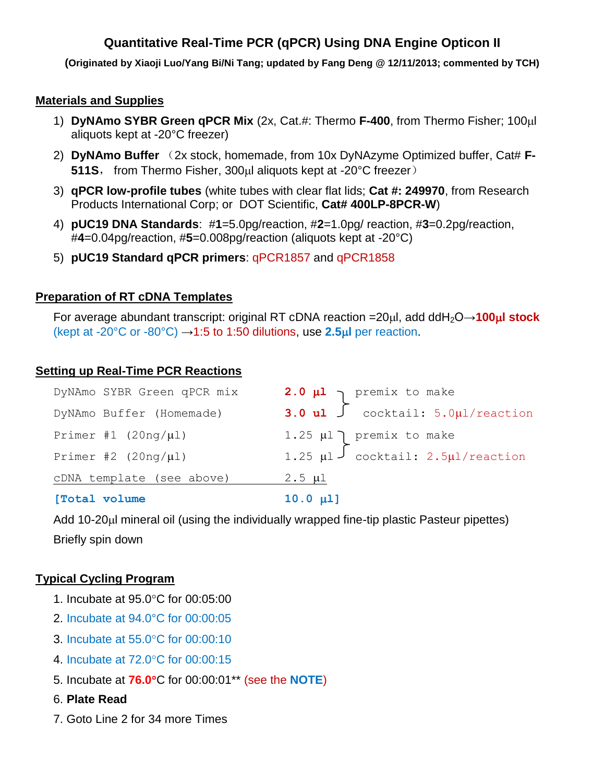# **Quantitative Real-Time PCR (qPCR) Using DNA Engine Opticon II**

**(Originated by Xiaoji Luo/Yang Bi/Ni Tang; updated by Fang Deng @ 12/11/2013; commented by TCH)**

### **Materials and Supplies**

- 1) **DyNAmo SYBR Green qPCR Mix** (2x, Cat.#: Thermo F-400, from Thermo Fisher; 100ul aliquots kept at -20°C freezer)
- 2) DyNAmo Buffer (2x stock, homemade, from 10x DyNAzyme Optimized buffer, Cat# F-**511S**, from Thermo Fisher, 300µl aliquots kept at -20°C freezer)
- 3) **qPCR low-profile tubes** (white tubes with clear flat lids; **Cat #: 249970**, from Research Products International Corp; or DOT Scientific, **Cat# 400LP-8PCR-W**)
- 4) **pUC19 DNA Standards**: #**1**=5.0pg/reaction, #**2**=1.0pg/ reaction, #**3**=0.2pg/reaction, #**4**=0.04pg/reaction, #**5**=0.008pg/reaction (aliquots kept at -20°C)
- 5) **pUC19 Standard qPCR primers**: qPCR1857 and qPCR1858

#### **Preparation of RT cDNA Templates**

For average abundant transcript: original RT cDNA reaction =20μl, add ddH<sub>2</sub>O→**100μl stock** (kept at -20 $^{\circ}$ C or -80 $^{\circ}$ C)  $\rightarrow$ 1:5 to 1:50 dilutions, use 2.5 $\mu$ l per reaction.

### **Setting up Real-Time PCR Reactions**

| DyNAmo SYBR Green qPCR mix | 2.0 $\mu$ 1<br>3.0 $\mu$ 1<br>$\int$ cocktail: 5.0 $\mu$ 1/reaction |
|----------------------------|---------------------------------------------------------------------|
| DyNAmo Buffer (Homemade)   |                                                                     |
| Primer #1 $(20ng/\mu l)$   | 1.25 $\mu$ 1 ] premix to make                                       |
| Primer #2 $(20nq/\mu l)$   | 1.25 $\mu$ 1 $\int$ cocktail: 2.5 $\mu$ 1/reaction                  |
| cDNA template (see above)  | $2.5 \mu l$                                                         |
|                            |                                                                     |

**[Total volume 10.0 l]**

Add 10-20 $\mu$ I mineral oil (using the individually wrapped fine-tip plastic Pasteur pipettes) Briefly spin down

### **Typical Cycling Program**

- 1. Incubate at 95.0°C for 00:05:00
- 2. Incubate at 94.0°C for 00:00:05
- 3. Incubate at 55.0°C for 00:00:10
- 4. Incubate at 72.0°C for 00:00:15
- 5. Incubate at **76.0**C for 00:00:01\*\* (see the **NOTE**)
- 6. **Plate Read**
- 7. Goto Line 2 for 34 more Times